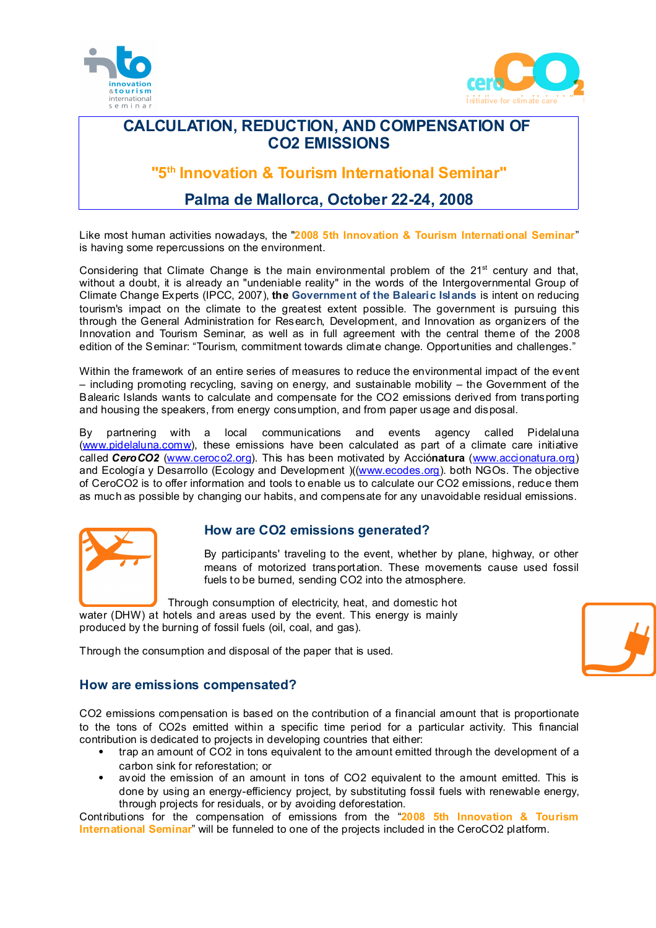



## **CALCULATION, REDUCTION, AND COMPENSATION OF CO2 EMISSIONS**

**"5 th Innovation & Tourism International Seminar"**

# **Palma de Mallorca, October 22-24, 2008**

Like most human activities nowadays, the "**2008 5th Innovation & Tourism International Seminar**" is having some repercussions on the environment.

Considering that Climate Change is the main environmental problem of the  $21<sup>st</sup>$  century and that, without a doubt, it is already an "undeniable reality" in the words of the Intergovernmental Group of Climate Change Experts (IPCC, 2007), **the Government of the Balearic Islands** is intent on reducing tourism's impact on the climate to the greatest extent possible. The government is pursuing this through the General Administration for Research, Development, and Innovation as organizers of the Innovation and Tourism Seminar, as well as in full agreement with the central theme of the 2008 edition of the Seminar: "Tourism, commitment towards climate change. Opportunities and challenges."

Within the framework of an entire series of measures to reduce the environmental impact of the event – including promoting recycling, saving on energy, and sustainable mobility – the Government of the Balearic Islands wants to calculate and compensate for the CO2 emissions derived from transporting and housing the speakers, from energy consumption, and from paper usage and disposal.

By partnering with a local communications and events agency called Pidelaluna [\(www.pidelaluna.comw](http://www.pidelaluna.comw/)), these emissions have been calculated as part of a climate care initiative called *CeroCO2* [\(www.ceroco2.org](http://www.ceroco2.org/)). This has been motivated by Acció**natura** [\(www.accionatura.org](http://www.accionatura.org/)) and Ecología y Desarrollo (Ecology and Development )([\(www.ecodes.org](http://www.ecodes.org/)). both NGOs. The objective of CeroCO2 is to offer information and tools to enable us to calculate our CO2 emissions, reduce them as much as possible by changing our habits, and compensate for any unavoidable residual emissions.



## **How are CO2 emissions generated?**

By participants' traveling to the event, whether by plane, highway, or other means of motorized transportation. These movements cause used fossil fuels to be burned, sending CO2 into the atmosphere.

Through consumption of electricity, heat, and domestic hot water (DHW) at hotels and areas used by the event. This energy is mainly

produced by the burning of fossil fuels (oil, coal, and gas).

Through the consumption and disposal of the paper that is used.



## **How are emissions compensated?**

CO2 emissions compensation is based on the contribution of a financial amount that is proportionate to the tons of CO2s emitted within a specific time period for a particular activity. This financial contribution is dedicated to projects in developing countries that either:

- trap an amount of CO2 in tons equivalent to the amount emitted through the development of a carbon sink for reforestation; or
- avoid the emission of an amount in tons of CO2 equivalent to the amount emitted. This is done by using an energy-efficiency project, by substituting fossil fuels with renewable energy, through projects for residuals, or by avoiding deforestation.

Contributions for the compensation of emissions from the "**2008 5th Innovation & Tourism International Seminar**" will be funneled to one of the projects included in the CeroCO2 platform.